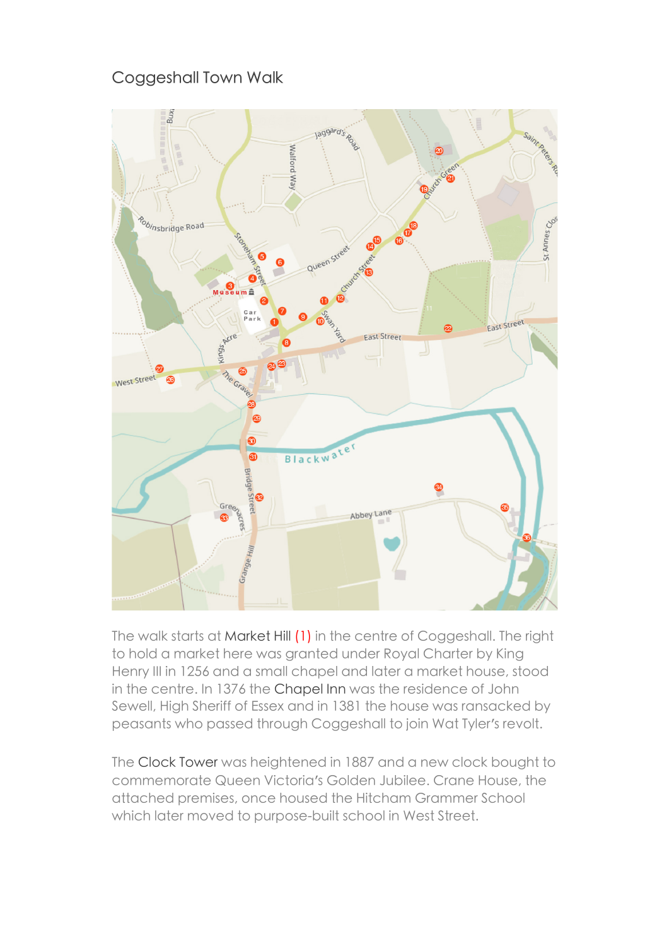## Coggeshall Town Walk



The walk starts at Market Hill (1) in the centre of Coggeshall. The right to hold a market here was granted under Royal Charter by King Henry III in 1256 and a small chapel and later a market house, stood in the centre. In 1376 the Chapel Inn was the residence of John Sewell, High Sheriff of Essex and in 1381 the house was ransacked by peasants who passed through Coggeshall to join Wat Tyler's revolt.

The Clock Tower was heightened in 1887 and a new clock bought to commemorate Queen Victoria's Golden Jubilee. Crane House, the attached premises, once housed the Hitcham Grammer School which later moved to purpose-built school in West Street.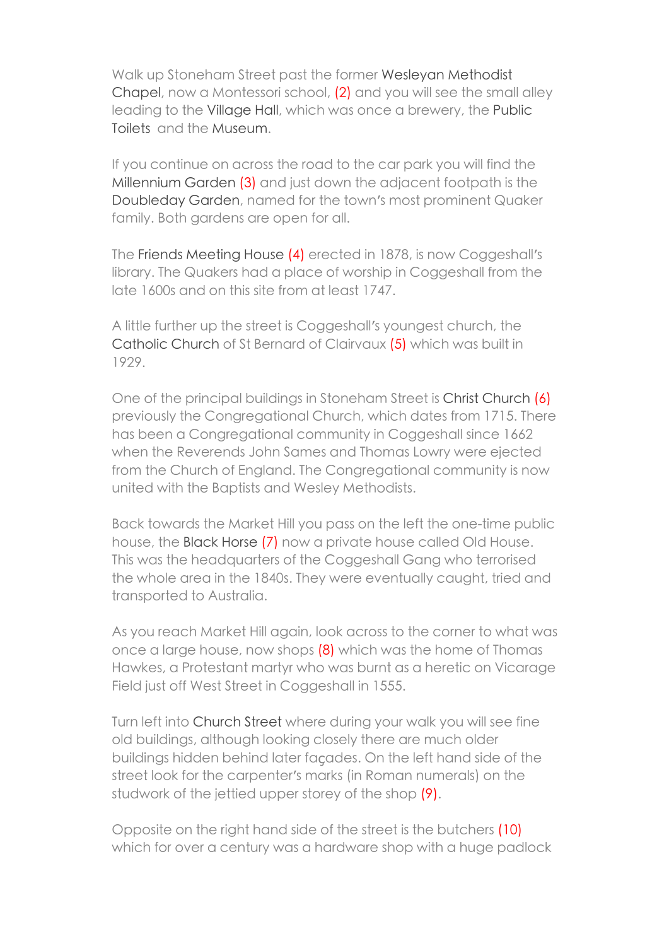Walk up Stoneham Street past the former Wesleyan Methodist Chapel, now a Montessori school, (2) and you will see the small alley leading to the Village Hall, which was once a brewery, the Public Toilets and the Museum.

If you continue on across the road to the car park you will find the Millennium Garden (3) and just down the adjacent footpath is the Doubleday Garden, named for the town's most prominent Quaker family. Both gardens are open for all.

The Friends Meeting House (4) erected in 1878, is now Coggeshall's library. The Quakers had a place of worship in Coggeshall from the late 1600s and on this site from at least 1747.

A little further up the street is Coggeshall's youngest church, the Catholic Church of St Bernard of Clairvaux (5) which was built in 1929.

One of the principal buildings in Stoneham Street is Christ Church (6) previously the Congregational Church, which dates from 1715. There has been a Congregational community in Coggeshall since 1662 when the Reverends John Sames and Thomas Lowry were ejected from the Church of England. The Congregational community is now united with the Baptists and Wesley Methodists.

Back towards the Market Hill you pass on the left the one-time public house, the Black Horse (7) now a private house called Old House. This was the headquarters of the Coggeshall Gang who terrorised the whole area in the 1840s. They were eventually caught, tried and transported to Australia.

As you reach Market Hill again, look across to the corner to what was once a large house, now shops (8) which was the home of Thomas Hawkes, a Protestant martyr who was burnt as a heretic on Vicarage Field just off West Street in Coggeshall in 1555.

Turn left into Church Street where during your walk you will see fine old buildings, although looking closely there are much older buildings hidden behind later façades. On the left hand side of the street look for the carpenter's marks (in Roman numerals) on the studwork of the jettied upper storey of the shop (9).

Opposite on the right hand side of the street is the butchers (10) which for over a century was a hardware shop with a huge padlock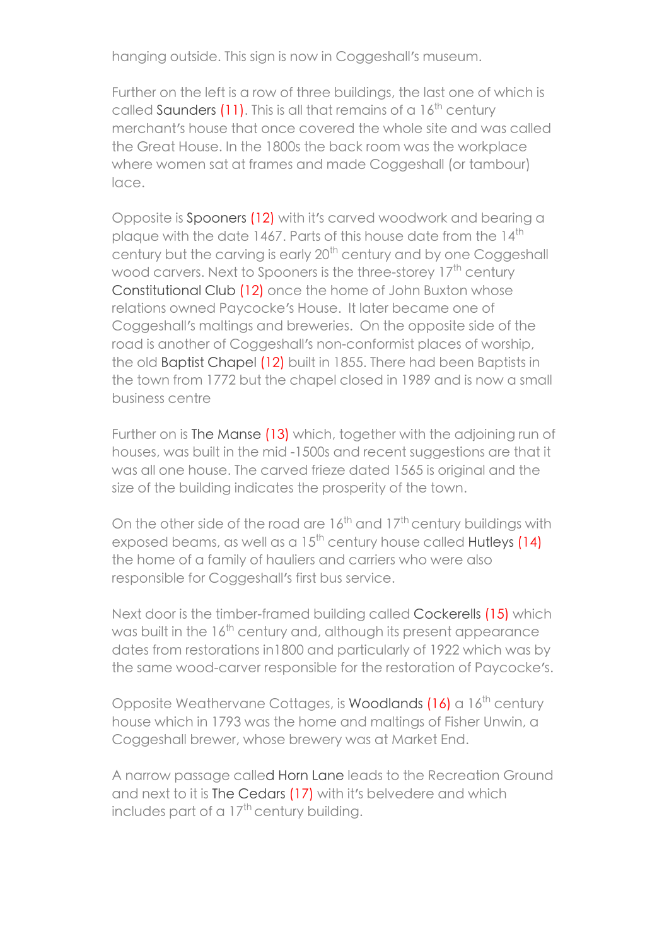hanging outside. This sign is now in Coggeshall's museum.

Further on the left is a row of three buildings, the last one of which is called Saunders  $(11)$ . This is all that remains of a  $16<sup>th</sup>$  century merchant's house that once covered the whole site and was called the Great House. In the 1800s the back room was the workplace where women sat at frames and made Coggeshall (or tambour) lace.

Opposite is Spooners (12) with it's carved woodwork and bearing a plaque with the date 1467. Parts of this house date from the 14<sup>th</sup> century but the carving is early 20<sup>th</sup> century and by one Coggeshall wood carvers. Next to Spooners is the three-storey 17<sup>th</sup> century Constitutional Club (12) once the home of John Buxton whose relations owned Paycocke's House. It later became one of Coggeshall's maltings and breweries. On the opposite side of the road is another of Coggeshall's non-conformist places of worship, the old Baptist Chapel (12) built in 1855. There had been Baptists in the town from 1772 but the chapel closed in 1989 and is now a small business centre

Further on is The Manse (13) which, together with the adjoining run of houses, was built in the mid -1500s and recent suggestions are that it was all one house. The carved frieze dated 1565 is original and the size of the building indicates the prosperity of the town.

On the other side of the road are  $16^{th}$  and  $17^{th}$  century buildings with exposed beams, as well as a  $15^{th}$  century house called Hutleys (14) the home of a family of hauliers and carriers who were also responsible for Coggeshall's first bus service.

Next door is the timber-framed building called Cockerells (15) which was built in the 16<sup>th</sup> century and, although its present appearance dates from restorations in1800 and particularly of 1922 which was by the same wood-carver responsible for the restoration of Paycocke's.

Opposite Weathervane Cottages, is Woodlands  $(16)$  a  $16<sup>th</sup>$  century house which in 1793 was the home and maltings of Fisher Unwin, a Coggeshall brewer, whose brewery was at Market End.

A narrow passage called Horn Lane leads to the Recreation Ground and next to it is The Cedars (17) with it's belvedere and which includes part of a  $17<sup>th</sup>$  century building.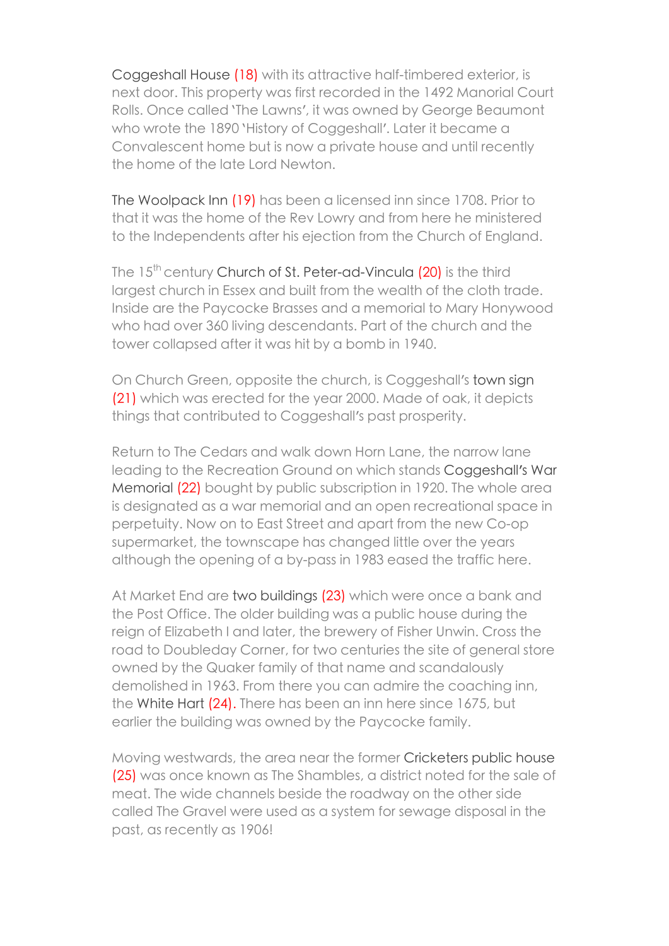Coggeshall House (18) with its attractive half-timbered exterior, is next door. This property was first recorded in the 1492 Manorial Court Rolls. Once called 'The Lawns', it was owned by George Beaumont who wrote the 1890 'History of Coggeshall'. Later it became a Convalescent home but is now a private house and until recently the home of the late Lord Newton.

The Woolpack Inn (19) has been a licensed inn since 1708. Prior to that it was the home of the Rev Lowry and from here he ministered to the Independents after his ejection from the Church of England.

The  $15<sup>th</sup>$  century Church of St. Peter-ad-Vincula  $(20)$  is the third laraest church in Essex and built from the wealth of the cloth trade. Inside are the Paycocke Brasses and a memorial to Mary Honywood who had over 360 living descendants. Part of the church and the tower collapsed after it was hit by a bomb in 1940.

On Church Green, opposite the church, is Coggeshall's town sign (21) which was erected for the year 2000. Made of oak, it depicts things that contributed to Coggeshall's past prosperity.

Return to The Cedars and walk down Horn Lane, the narrow lane leading to the Recreation Ground on which stands Coggeshall's War Memorial (22) bought by public subscription in 1920. The whole area is designated as a war memorial and an open recreational space in perpetuity. Now on to East Street and apart from the new Co-op supermarket, the townscape has changed little over the years although the opening of a by-pass in 1983 eased the traffic here.

At Market End are two buildings (23) which were once a bank and the Post Office. The older building was a public house during the reign of Elizabeth I and later, the brewery of Fisher Unwin. Cross the road to Doubleday Corner, for two centuries the site of general store owned by the Quaker family of that name and scandalously demolished in 1963. From there you can admire the coaching inn, the White Hart (24). There has been an inn here since 1675, but earlier the building was owned by the Paycocke family.

Moving westwards, the area near the former Cricketers public house (25) was once known as The Shambles, a district noted for the sale of meat. The wide channels beside the roadway on the other side called The Gravel were used as a system for sewage disposal in the past, as recently as 1906!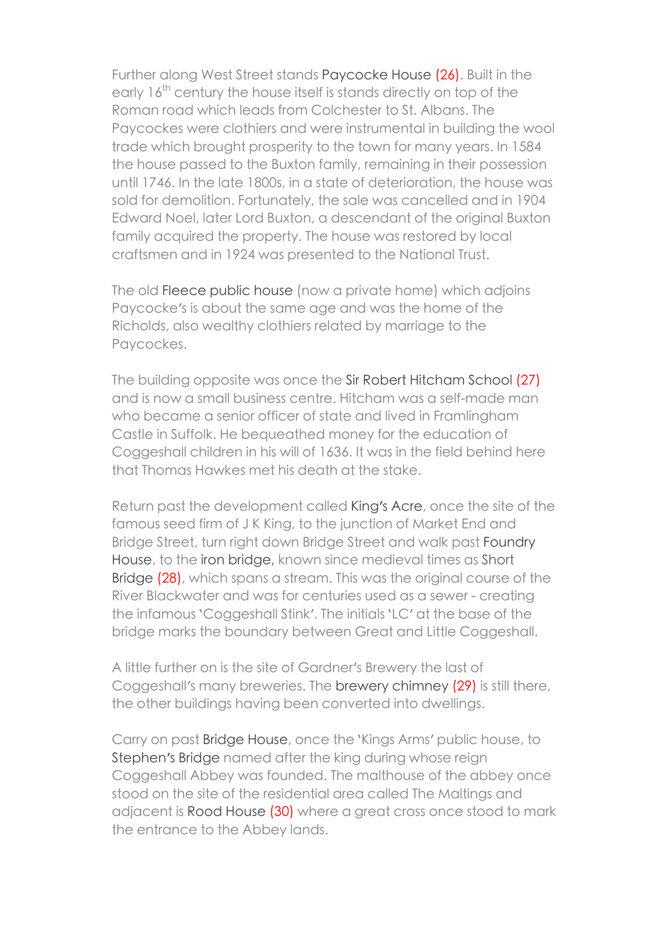Further along West Street stands Paycocke House (26). Built in the early 16<sup>th</sup> century the house itself is stands directly on top of the Roman road which leads from Colchester to St. Albans. The Paycockes were clothiers and were instrumental in building the wool trade which brought prosperity to the town for many years. In 1584 the house passed to the Buxton family, remaining in their possession until 1746. In the late 1800s, in a state of deterioration, the house was sold for demolition. Fortunately, the sale was cancelled and in 1904 Edward Noel, later Lord Buxton, a descendant of the original Buxton family acquired the property. The house was restored by local craftsmen and in 1924 was presented to the National Trust.

The old Fleece public house (now a private home) which adjoins Paycocke's is about the same age and was the home of the Richolds, also wealthy clothiers related by marriage to the Paycockes.

The building opposite was once the Sir Robert Hitcham School (27) and is now a small business centre. Hitcham was a self-made man who became a senior officer of state and lived in Framlingham Castle in Suffolk. He bequeathed money for the education of Coggeshall children in his will of 1636. It was in the field behind here that Thomas Hawkes met his death at the stake.

Return past the development called King's Acre, once the site of the famous seed firm of J K King, to the junction of Market End and Bridge Street, turn right down Bridge Street and walk past Foundry House, to the iron bridge, known since medieval times as Short Bridge (28), which spans a stream. This was the original course of the River Blackwater and was for centuries used as a sewer - creating the infamous 'Coggeshall Stink'. The initials 'LC' at the base of the bridge marks the boundary between Great and Little Coggeshall.

A little further on is the site of Gardner's Brewery the last of Coggeshall's many breweries. The brewery chimney (29) is still there, the other buildings having been converted into dwellings.

Carry on past Bridge House, once the 'Kings Arms' public house, to Stephen's Bridge named after the king during whose reign Coggeshall Abbey was founded. The malthouse of the abbey once stood on the site of the residential area called The Maltings and adjacent is Rood House (30) where a great cross once stood to mark the entrance to the Abbey lands.